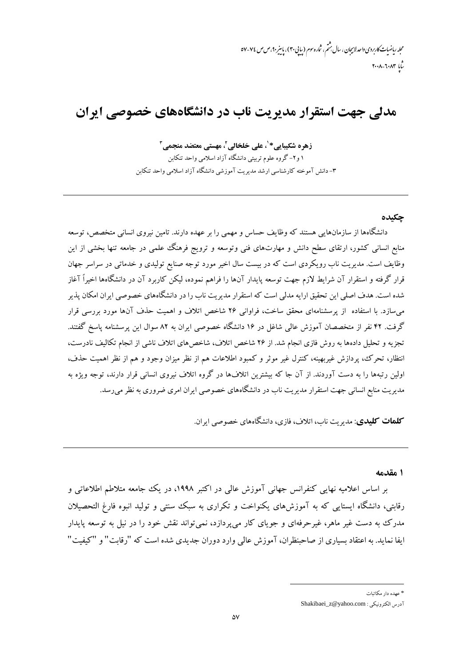مجله ریاضیات *کاربر*دی *واحد لاہیجان ، سال م*شّم، شاره سوم (بیایی ۳۰)، پاسیز ۹۰، ص ص ۷۷- ۵۷  $T - \lambda - T - \lambda T$ 

# مدلی جهت استقرار مدیریت ناب در دانشگاههای خصوصی ایران

زهرہ شکیبایے \* ٰ، علی خلخالی ٗ، مهستی معتضد منجمی ؑ ۱ و۲– گروه علوم تربیتی دانشگاه آزاد اسلامی واحد تنکابن ۳– دانش آموخته کارشناسی ارشد مدیریت آموزشی دانشگاه آزاد اسلامی واحد تنکاین

#### حكىدە

دانشگاهها از سازمانهایی هستند که وظایف حساس و مهمی را بر عهده دارند. تامین نیروی انسانی متخصص، توسعه منابع انسانی کشور، ارتقای سطح دانش و مهارتهای فنی وتوسعه و ترویج فرهنگ علمی در جامعه تنها بخشی از این وظایف است. مدیریت ناب رویکردی است که در بیست سال اخیر مورد توجه صنایع تولیدی و خدماتی در سراسر جهان قرار گرفته و استقرار آن شرایط لازم جهت توسعه پایدار آنها را فراهم نموده، لیکن کاربرد آن در دانشگاهها اخیراً آغاز شده است. هدف اصلی این تحقیق ارایه مدلی است که استقرار مدیریت ناب را در دانشگاههای خصوصی ایران امکان پذیر می سازد. با استفاده از پرسشنامهای محقق ساخت، فراوانی ۲۶ شاخص اتلاف و اهمیت حذف آنها مورد بررسی قرار گرفت. ۴۲ نفر از متخصصان آموزش عالمی شاغل در ۱۶ دانشگاه خصوصی ایران به ۸۲ سوال این پرسشنامه پاسخ گفتند. تجزیه و تحلیل دادهها به روش فازی انجام شد. از ۲۶ شاخص اتلاف، شاخص های اتلاف ناشی از انجام تکالیف نادرست، انتظار، تحرك، يردازش غيربهينه، كنترل غير موثر و كمبود اطلاعات هم از نظر ميزان وجود و هم از نظر اهميت حذف، اولین رتبهها را به دست آوردند. از آن جا که بیشترین اتلافها در گروه اتلاف نیروی انسانی قرار دارند، توجه ویژه به مدیریت منابع انسانی جهت استقرار مدیریت ناب در دانشگاههای خصوصی ایران امری ضروری به نظر می رسد.

**کلمات کلیدی**: مدیریت ناب، اتلاف، فازی، دانشگاههای خصوصی ایران.

۱ مقدمه

بر اساس اعلامیه نهایی کنفرانس جهانی آموزش عالی در اکتبر ۱۹۹۸، در یک جامعه متلاطم اطلاعاتی و رقابتی، دانشگاه ایستایی که به آموزشهای یکنواخت و تکراری به سبک سنتی و تولید انبوه فارغ التحصیلان مدرک به دست غیر ماهر، غیر حرفهای و جو بای کار می یردازد، نمی تواند نقش خود را در نیل به توسعه پایدار ايفا نمايد. به اعتقاد بسياري از صاحبنظران، آموزش عالمي وارد دوران جديدي شده است كه "رقابت" و "كيفيت"

<sup>\*</sup> عهده دار مکاتبات

آدرس الكترونيكي : Shakibaei\_z@yahoo.com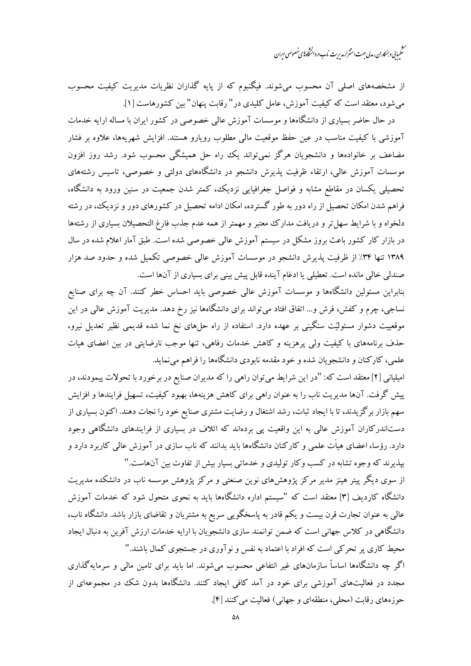.<br>مىڭمىيانى وہمكاران، مدلى حهت استترار مدىرىت ناب در دائىڭاه بىي خصوصى اىران

از مشخصههای اصلی آن محسوب میشوند. فیگنبوم که از پایه گذاران نظریات مدیریت کیفیت محسوب می شود، معتقد است که کیفیت آموزش، عامل کلیدی در " رقابت پنهان" بین کشورهاست [۱].

در حال حاضر بسیاری از دانشگاهها و موسسات آموزش عالی خصوصی در کشور ایران با مساله ارایه خدمات .<br>آموزشی با کیفیت مناسب در عین حفظ موقعیت مالی مطلوب رویارو هستند. افزایش شهریهها، علاوه بر فشار مضاعف بر خانوادهها و دانشجویان هرگز نمیتواند یک راه حل همیشگی محسوب شود. رشد روز افزون موسسات آموزش عالی، ارتقاء ظرفیت پذیرش دانشجو در دانشگاههای دولتی و خصوصی، تاسیس رشتههای تحصیلی یکسان در مقاطع مشابه و فواصل جغرافیایی نزدیک، کمتر شدن جمعیت در سنین ورود به دانشگاه، فراهم شدن امکان تحصیل از راه دور به طور گسترده، امکان ادامه تحصیل در کشورهای دور و نزدیک، در رشته دلخواه و با شرایط سهل تر و دریافت مدارک معتبر و مهمتر از همه عدم جذب فارغ التحصیلان بسیاری از رشتهها در بازار کار کشور باعث بروز مشکل در سیستم آموزش عالمی خصوصی شده است. طبق آمار اعلام شده در سال ۱۳۸۹ تنها ۳۴٪ از ظرفیت پذیرش دانشجو در موسسات آموزش عالمی خصوصی تکمیل شده و حدود صد هزار صندلی خالی مانده است. تعطیلی یا ادغام آینده قابل پیش بینی برای بسیاری از آنها است.

بنابراین مسئولین دانشگاهها و موسسات آموزش عالمی خصوصی باید احساس خطر کنند. آن چه برای صنایع نساجی، چرم و کفش، فرش و… اتفاق افتاد می تواند برای دانشگاهها نیز رخ دهد. مدیریت آموزش عالی در این موقعییت دشوار مسئولیّت سنگینی بر عهده دارد. استفاده از راه حلهای نخ نما شده قدیمی نظیر تعدیل نیرو، حذف برنامههای با کیفیت ولی پرهزینه و کاهش خدمات رفاهی، تنها موجب نارضایتی در بین اعضای هیات علمی، کارکنان و دانشجویان شده و خود مقدمه نابودی دانشگاهها را فراهم مینماید.

امیلیانی [۲] معتقد است که: "در این شرایط میتوان راهی را که مدیران صنایع در برخورد با تحولات پیمودند، در پیش گرفت. آنها مدیریت ناب را به عنوان راهبی برای کاهش هزینهها، بهبود کیفیت، تسهیل فرایندها و افزایش سهم بازار برگزیدند، تا با ایجاد ثبات، رشد اشتغال و رضایت مشتری صنایع خود را نجات دهند. اکنون بسیاری از دستاندرکاران آموزش عالی به این واقعیت یی بردهاند که اتلاف در بسیاری از فرایندهای دانشگاهی وجود دارد. رؤسا، اعضای هیأت علمی و کارکنان دانشگاهها باید بدانند که ناب سازی در آموزش عالمی کاربرد دارد و بپذیرند که وجوه تشابه در کسب وکار تولیدی و خدماتی بسیار بیش از تفاوت بین آنهاست."

از سوی دیگر پیتر هینز مدیر مرکز پژوهشهای نوین صنعتی و مرکز پژوهش موسسه ناب در دانشکده مدیریت دانشگاه کاردیف [۳] معتقد است که "سیستم اداره دانشگاهها باید به نحوی متحول شود که خدمات آموزش عالمی به عنوان تجارت قرن بیست و یکم قادر به پاسخگویی سریع به مشتریان و تقاضای بازار باشد. دانشگاه ناب، دانشگاهی در کلاس جهانی است که ضمن توانمند سازی دانشجویان با ارایه خدمات ارزش آفرین به دنبال ایجاد محیط کاری پر تحرکی است که افراد با اعتماد به نفس و نوآوری در جستجوی کمال باشند." اگر چه دانشگاهها اساساً سازمانهای غیر انتفاعی محسوب می شوند. اما باید برای تامین مالی و سرمایهگذاری

مجدد در فعالیتهای آموزشی برای خود در آمد کافی ایجاد کنند. دانشگاهها بدون شک در مجموعهای از حوزههای رقابت (محلی، منطقهای و جهانی) فعالیت می کنند [۴].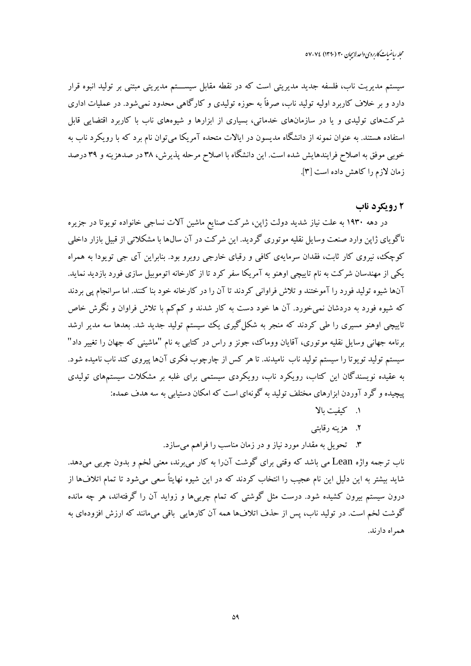سیستم مدیریت ناب، فلسفه جدید مدیریتی است که در نقطه مقابل سیســـتم مدیریتی مبتنی بر تولید انبوه قرار دارد و بر خلاف کاربرد اولیه تولید ناب، صرفاً به حوزه تولیدی و کارگاهی محدود نمی شود. در عملیات اداری .<br>شرکتهای تولیدی و یا در سازمانهای خدماتی، بسیاری از ایزارها و شیوههای ناب با کاربرد اقتضایی قابل استفاده هستند. به عنوان نمونه از دانشگاه مدیسون در ایالات متحده آمریکا می توان نام برد که با رویکرد ناب به خوبی موفق به اصلاح فرایندهایش شده است. این دانشگاه با اصلاح مرحله پذیرش، ۳۸ در صدهزینه و ۳۹ درصد زمان لازم را كاهش داده است [۳].

# ۲ رویکرد ناب

در دهه ۱۹۳۰ به علت نیاز شدید دولت ژاپن، شرکت صنایع ماشین آلات نساجی خانواده تویوتا در جزیره ناگوياي ژاپن وارد صنعت وسايل نقليه موتوري گرديد. اين شركت در آن سال&ا با مشكلاتي از قبيل بازار داخلي کوچک، نیروی کار ثابت، فقدان سرمایهی کافی و رقبای خارجی روبرو بود. بنابراین آی جی تویودا به همراه یکی از مهندسان شرکت به نام تاییچی اوهنو به آمریکا سفر کرد تا از کارخانه اتوموبیل سازی فورد بازدید نماید. آنها شیوه تولید فورد را آموختند و تلاش فراوانی کردند تا آن را در کارخانه خود بنا کنند. اما سرانجام یی بردند که شیوه فورد به دردشان نمی خورد. آن ها خود دست به کار شدند و کم کم با تلاش فراوان و نگرش خاص ۔<br>تاییچی اوهنو مسیری را طی کردند که منجر به شکل گیری یک سیستم تولید جدید شد. بعدها سه مدیر ارشد برنامه جهانی وسایل نقلیه موتوری، آقایان ووماک، جونز و راس در کتابی به نام "ماشینی که جهان را تغییر داد" سیستم تولید تویوتا را سیستم تولید ناب نامیدند. تا هر کس از چارچوب فکری آنها پیروی کند ناب نامیده شود. به عقیده نویسندگان این کتاب، رویکرد ناب، رویکردی سیستمی برای غلبه بر مشکلات سیستمهای تولیدی پیچیده و گرد آوردن ابزارهای مختلف تولید به گونهای است که امکان دستیابی به سه هدف عمده:

- ١. كيفيت بالا
- ۲. هزبنه رقابتی
- ۳. \_ تحویل به مقدار مورد نیاز و در زمان مناسب را فراهم می سازد.

ناب ترجمه واژه Lean مي باشد كه وقتي براي گوشت آن(ا به كار مي برند، معنى لخم و بدون چربي مي<هد. شاید بیشتر به این دلیل این نام عجیب را انتخاب کردند که در این شیوه نهایتاً سعی میشود تا تمام اتلافها از درون سیستم بیرون کشیده شود. درست مثل گوشتی که تمام چربیها و زواید آن را گرفتهاند، هر چه مانده گوشت لخم است. در تولید ناب، پس از حذف اتلافها همه آن کارهایی باقی میمانند که ارزش افزودهای به همراه دارند.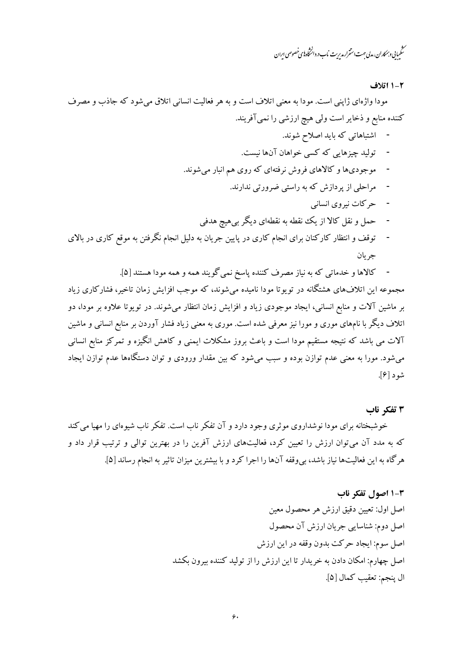.<br>مىڭمىيانى وہمكاران، مدلى حهت استترار مدىرىت ناب در دائىڭاه بىي خصوصى اىران

#### ١-١ اتلاف

مودا واژهای ژاپنی است. مودا به معنی اتلاف است و به هر فعالیت انسانی اتلاق میشود که جاذب و مصرف کننده منابع و ذخایر است ولی هیچ ارزشی را نمیآفریند.

- اشتباهاتی که باید اصلاح شوند.
- توليد چيزهايي كه كسي خواهان آنها نيست.
- موجودیها و کالاهای فروش نرفتهای که روی هم انبار می شوند.
	- مراحلی از پردازش که به راستی ضرورتی ندارند.
		- حرکات نیروی انسانی
	- حمل و نقل کالا از یک نقطه به نقطهای دیگر بی هیچ هدفی
- توقف و انتظار کارکنان برای انجام کاری در پایین جریان به دلیل انجام نگرفتن به موقع کاری در بالای جر بان
	- کالاها و خدماتی که به نیاز مصرف کننده پاسخ نمی گویند همه و همه مودا هستند [۵].

مجموعه این اتلافهای هشتگانه در توپوتا مودا نامیده می شوند، که موجب افزایش زمان تاخیر، فشارکاری زیاد بر ماشین آلات و منابع انسانی، ایجاد موجودی زیاد و افزایش زمان انتظار می شوند. در توپوتا علاوه بر مودا، دو اتلاف دیگر با نامهای موری و مورا نیز معرفی شده است. موری به معنی زیاد فشار آوردن بر منابع انسانی و ماشین آلات می باشد که نتیجه مستقیم مودا است و باعث بروز مشکلات ایمنی و کاهش انگیزه و تمرکز منابع انسانی می شود. مورا به معنی عدم توازن بوده و سبب می شود که بین مقدار ورودی و توان دستگاهها عدم توازن ایجاد شود [۶].

### ۳ تفکر ناب

خوشبختانه برای مودا نوشداروی موثری وجود دارد و آن تفکر ناب است. تفکر ناب شیوهای را مهیا می کند که به مدد آن میتوان ارزش را تعیین کرد، فعالیتهای ارزش آفرین را در بهترین توالی و ترتیب قرار داد و هرگاه به این فعالیتها نیاز باشد، بی وقفه آنها را اجرا کرد و با بیشترین میزان تاثیر به انجام رساند [۵].

## 3-1 اصول تفكر ناب

اصل اول: تعيين دقيق ارزش هر محصول معين اصل دوم: شناسایی جریان ارزش آن محصول اصل سوم: ايجاد حركت بدون وقفه در اين ارزش اصل چهارم: امکان دادن به خریدار تا این ارزش را از تولید کننده بیرون بکشد ال ينجم: تعقيب كمال [۵].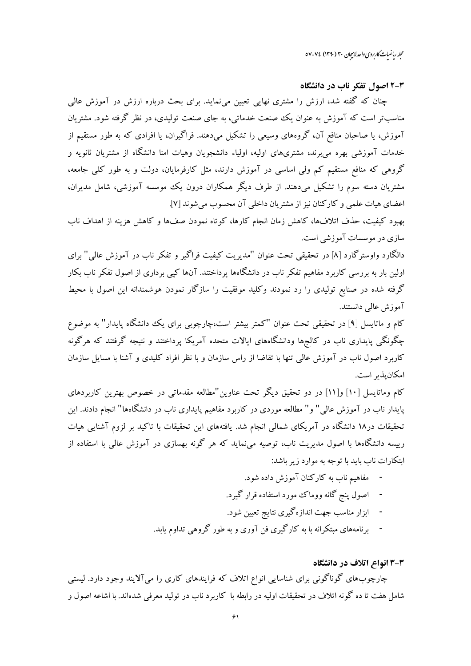محله رماضات کاربردی واحد لاسچان ۳۰ (۱۳۹۰) ۷۷-۷۷

### 4-2 اصول تفكر ناب در دانشگاه

چنان که گفته شد، ارزش را مشتری نهایی تعیین می;ماید. برای بحث درباره ارزش در آموزش عالی مناسبتر است که آموزش به عنوان یک صنعت خدماتی، به جای صنعت تولیدی، در نظر گرفته شود. مشتریان آموزش، یا صاحبان منافع آن، گروههای وسیعی را تشکیل میدهند. فراگیران، یا افرادی که به طور مستقیم از خدمات آموزشی بهره می برند، مشتریهای اولیه، اولیاء دانشجویان وهیات امنا دانشگاه از مشتریان ثانویه و گروهی که منافع مستقیم کم ولی اساسی در آموزش دارند، مثل کارفرمایان، دولت و به طور کلبی جامعه، مشتریان دسته سوم را تشکیل میدهند. از طرف دیگر همکاران درون یک موسسه آموزشی، شامل مدیران، اعضای هیات علمی و کارکنان نیز از مشتریان داخلی آن محسوب می شوند [۷].

بهبود كيفيت، حذف اتلافها، كاهش زمان انجام كارها، كوتاه نمودن صفها و كاهش هزينه از اهداف ناب سازی در موسسات آموزشی است.

دالگارد واوسترگارد [۸] در تحقیقی تحت عنوان "مدیریت کیفیت فراگیر و تفکر ناب در آموزش عالی" برای اولین بار به بررسی کاربرد مفاهیم تفکر ناب در دانشگاهها پرداختند. آنها کیبی برداری از اصول تفکر ناب بکار گرفته شده در صنایع تولیدی را رد نمودند وکلید موفقیت را سازگار نمودن هوشمندانه این اصول با محیط آموزش عالى دانستند.

کام و ماتایسل [۹] در تحقیقی تحت عنوان "کمتر بیشتر است،چارچوبی برای یک دانشگاه پایدار" به موضوع چگونگی پایداری ناب در کالجها ودانشگاههای ایالات متحده آمریکا پرداختند و نتیجه گرفتند که هرگونه کاربرد اصول ناب در آموزش عالی تنها با تقاضا از راس سازمان و با نظر افراد کلیدی و آشنا با مسایل سازمان امكان پذير است.

کام وماتایسل [۱۰] و[۱۱] در دو تحقیق دیگر تحت عناوین"مطالعه مقدماتی در خصوص بهترین کاربردهای پایدار ناب در آموزش عالی" و" مطالعه موردی در کاربرد مفاهیم پایداری ناب در دانشگاهها" انجام دادند. این تحقیقات در۱۸ دانشگاه در آمریکای شمالی انجام شد. یافتههای این تحقیقات با تاکید بر لزوم آشنایی هیات رییسه دانشگاهها با اصول مدیریت ناب، توصیه مینماید که هر گونه بهسازی در آموزش عالی با استفاده از ابتکارات ناب باید با توجه به موارد زیر باشد:

- مفاهیم ناب به کارکنان آموزش داده شود.
- اصول پنج گانه ووماک مورد استفاده قرار گیرد.
- ابزار مناسب جهت اندازه گیری نتایج تعیین شود.
- برنامههای مبتکرانه با به کارگیری فن آوری و به طور گروهی تداوم یابد.

#### ۳-۳ انواع اتلاف در دانشگاه

چارچوبهای گوناگونی برای شناسایی انواع اتلاف که فرایندهای کاری را میآلایند وجود دارد. لیستی شامل هفت تا ده گونه اتلاف در تحقیقات اولیه در رابطه با کاربرد ناب در تولید معرفی شدهاند. با اشاعه اصول و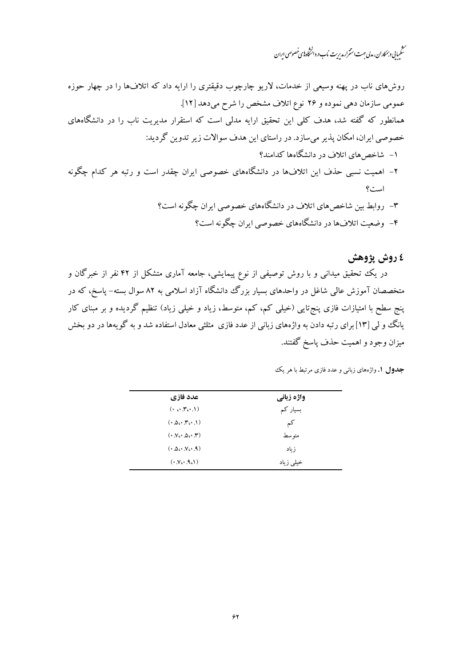.<br>سنگىيانى و بېمكاران، مدلى حهت استترار مديريت نماب در دانشخاه پاي خصوصي ايران

روشهای ناب در پهنه وسیعی از خدمات، لاریو چارچوب دقیقتری را ارایه داد که اتلافها را در چهار حوزه عمومي سازمان دهي نموده و ٢۶ نوع اتلاف مشخص را شرح مي دهد [١٢]. همانطور که گفته شد، هدف کلی این تحقیق ارایه مدلی است که استقرار مدیریت ناب را در دانشگاههای خصوصی ایران، امکان پذیر میسازد. در راستای این هدف سوالات زیر تدوین گردید: ۱– شاخص های اتلاف در دانشگاهها کدامند؟ ۲– اهمیت نسبی حذف این اتلافها در دانشگاههای خصوصی ایران چقدر است و رتبه هر کدام چگونه است؟ ۳– روابط بین شاخصهای اتلاف در دانشگاههای خصوصی ایران چگونه است؟

- - ۴- وضعیت اتلافها در دانشگاههای خصوصی ایران چگونه است؟

# ٤ روش پژوهش

در یک تحقیق میدانی و با روش توصیفی از نوع پیمایشی، جامعه آماری متشکل از ۴۲ نفر از خبرگان و متخصصان آموزش عالی شاغل در واحدهای بسیار بزرگ دانشگاه آزاد اسلامی به ۸۲ سوال بسته– یاسخ، که در ینج سطح با امتیازات فازی پنج تایی (خیلی کم، کم، متوسط، زیاد و خیلی زیاد) تنظیم گردیده و بر مبنای کار یانگ وو لی [۱۳] برای رتبه دادن به واژههای زبانی از عدد فازی مثلثی معادل استفاده شد و به گو یهها در دو بخش میزان وجود و اهمیت حذف پاسخ گفتند.

| عدد فازي                                            | واژه زبانی |
|-----------------------------------------------------|------------|
| $(\cdot \circ \cdot \mathsf{r} \circ \cdot \cdot))$ | بسیار کم   |
| (0.00, 0.01)                                        | کم         |
| $(0.50 \cdot 0.00 \cdot T)$                         | متو سط     |
| $(0.000 \times 9)$                                  | ز باد      |
| $(V_{\mathcal{C}}, \mathcal{A}_{\mathcal{C}})$      | خیلی زیاد  |
|                                                     |            |

جدول ۱. واژههای زبانی و عدد فازی مرتبط با هر یک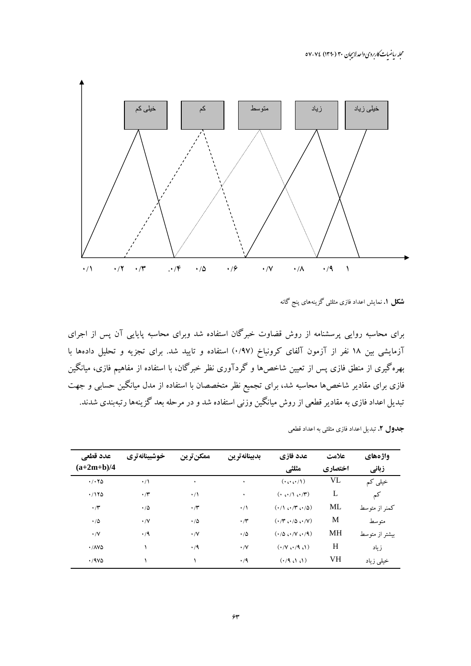مجله ریاضیات کاربردی واحدلاسچان ۳۰ (۱۳۹۰) ۷۷-۷۷



**شکل ۱.** نمایش اعداد فازی مثلثی گزینههای پنج گانه

برای محاسبه روایی پرسشنامه از روش قضاوت خبرگان استفاده شد وبرای محاسبه پایایی آن پس از اجرای آزمایشی بین ۱۸ نفر از آزمون آلفای کرونباخ (۰/۹۷) استفاده و تایید شد. برای تجزیه و تحلیل دادهها با بهرهگیری از منطق فازی پس از تعیین شاخصها و گردآوری نظر خبرگان، با استفاده از مفاهیم فازی، میانگین فازی برای مقادیر شاخصها محاسبه شد، برای تجمیع نظر متخصصان با استفاده از مدل میانگین حسابی و جهت تبدیل اعداد فازی به مقادیر قطعی از روش میانگین وزنی استفاده شد و در مرحله بعد گزینهها رتبهبندی شدند.

| <b>جدول ۲.</b> تبدیل اعداد فازی مثلثی به اعداد قطعی |  |
|-----------------------------------------------------|--|
|-----------------------------------------------------|--|

| عدد قطعي                              | خوشبينانه تري  | ممكنترين       | بدبينانه ترين  | عدد فازي                                                       | علامت   | واژههای        |
|---------------------------------------|----------------|----------------|----------------|----------------------------------------------------------------|---------|----------------|
| $(a+2m+b)/4$                          |                |                |                | مثلثي                                                          | اختصاري | زباني          |
| $\cdot$ / $\cdot$ $\uparrow$ $\Delta$ | $\cdot/$       | ٠              | ٠              | $(\cdot \cdots \cdots)$                                        | VL      | خیلی کم        |
| .7170                                 | $\cdot$ /۳     | $\cdot/$       | ٠              | $(0, \cdots)$ $(0, \cdots)$                                    | L       | كم             |
| $\cdot$ / $\mathsf{r}$                | $\cdot/\Delta$ | $\cdot$ /۳     | $\cdot/$       | $(1)$ $(1)$ $(1)$ $(1)$                                        | ML      | کمنر از متوسط  |
| $\cdot/\Delta$                        | $\cdot$ /V     | $\cdot/\Delta$ | $\cdot$ /۳     | $(\cdot/\mathsf{r}\cdot\cdot/\mathsf{d}\cdot\cdot/\mathsf{V})$ | M       | متوسط          |
| $\cdot/\vee$                          | $\cdot/9$      | $\cdot/\vee$   | $\cdot/\Delta$ | (·/Δ ∴ /V ∴ /9)                                                | MH      | بیشتر از متوسط |
| $\cdot$ / $\land\lor\Diamond$         |                | $\cdot/9$      | $\cdot$ /V     | $(1.81 \cdot 1)$                                               | H       | زياد           |
| .79V                                  |                |                | $\cdot$ /9     | (1, 1, 1)                                                      | VH      | خیلی زیاد      |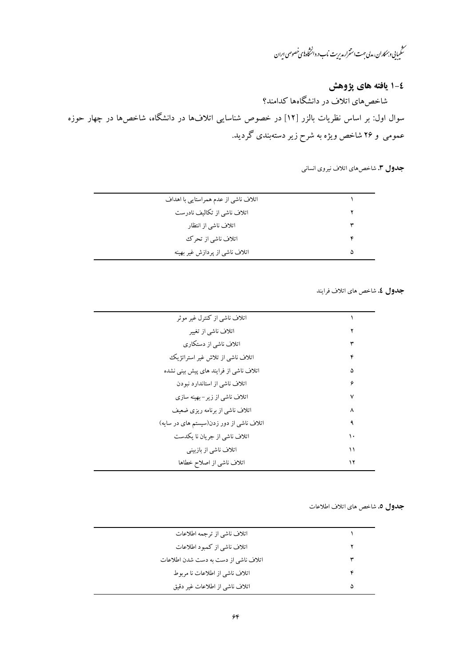ر<br>سنگیبایی *و بمکار*ان، مدبی <sup>ج</sup>هت استترار مدیریت ماب در دانشگاه **ب**ی خصوصی ایران

٤-١ يافته هاى پژوهش

شاخصهای اتلاف در دانشگاهها کدامند؟ سوال اول: بر اساس نظریات بالزر [۱۲] در خصوص شناسایی اتلافها در دانشگاه، شاخصها در چهار حوزه عمومی و ۲۶ شاخص ویژه به شرح زیر دستهبندی گردید.

جدول ۳. شاخص هاي اتلاف نيروي انساني

جدول ٤. شاخص هاي اتلاف فرايند

| اتلاف ناشی از کنترل غیر موثر             |    |
|------------------------------------------|----|
| اتلاف ناشی از تغییر                      |    |
| اتلاف ناشی از دستکاری                    |    |
| اتلاف ناشی از تلاش غیر استراتژیک         |    |
| اتلاف ناشی از فرایند های پیش بینی نشده   | ۵  |
| اتلاف ناشی از استاندارد نبودن            | ۶  |
| اتلاف ناشی از زیر-بهینه سازی             | ٧  |
| اتلاف ناشی از برنامه ریزی ضعیف           | ٨  |
| اتلاف ناشی از دور زدن(سیستم های در سایه) |    |
| اتلاف ناشي از جريان نا يكدست             | ۱۰ |
| اتلاف ناشی از بازبینی                    | ۱۱ |
| اتلاف ناشي از اصلاح خطاها                | ۱۲ |

#### جدول ٥. شاخص هاي اتلاف اطلاعات

| اتلاف ناشي از ترجمه اطلاعات          |   |
|--------------------------------------|---|
| اتلاف ناشی از کمبود اطلاعات          |   |
| اتلاف ناشی از دست به دست شدن اطلاعات |   |
| اتلاف ناشی از اطلاعات نا مربوط       |   |
| اتلاف ناشي از اطلاعات غير دقيق       | ۵ |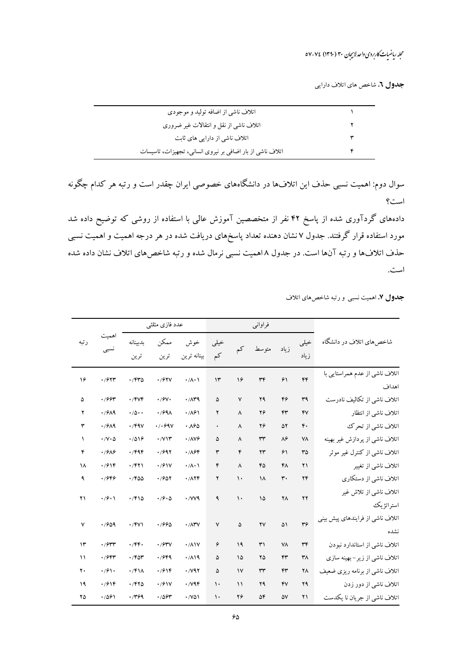# محله ریاضات کاربردی واحدلاسچان ۳۰ (۱۳۹۰) ۷۷-۵۷

جدول ٦. شاخص هاي اتلاف دارايي

| اتلاف ناشی از اضافه تولید و موجودی                        |  |
|-----------------------------------------------------------|--|
| اتلاف ناشي از نقل و انتقالات غير ضروري                    |  |
| اتلاف ناشی از دارایی های ثابت                             |  |
| اتلاف ناشی از بار اضافی بر نیروی انسانی، تجهیزات، تاسیسات |  |

سوال دوم: اهمیت نسبی حذف این اتلافها در دانشگاههای خصوصی ایران چقدر است و رتبه هر کدام چگونه است؟

دادههای گردآوری شده از پاسخ ۴۲ نفر از متخصصین آموزش عالی با استفاده از روشی که توضیح داده شد مورد استفاده قرار گرفتند. جدول ۷ نشان دهنده تعداد پاسخهای دریافت شده در هر درجه اهمیت و اهمیت نسبی حذف اتلافها و رتبه آنها است. در جدول ۸ اهمیت نسبی نرمال شده و رتبه شاخصهای اتلاف نشان داده شده است.

جدول ۷. اهمیت نسبی و رتبه شاخصهای اتلاف

|                                          |                |                        | فراوانبي               |               |               |                                    | عدد فازی مثلثی             |                            |                            |               |
|------------------------------------------|----------------|------------------------|------------------------|---------------|---------------|------------------------------------|----------------------------|----------------------------|----------------------------|---------------|
| شاخص های اتلاف در دانشگاه                | خيلى<br>ز باد  | ز ماد                  | متوسط                  | کم            | خيلى<br>کم    | خوش<br>بينانه ترين                 | ممكن<br>ترين               | بدبينانه<br>ترين           | نسبى                       | رتبه          |
| اتلاف ناشی از عدم همراستایی با<br>اهداف  | ۴۴             | ۶١                     | ٣۴                     | ۱۶            | $\mathcal{N}$ | $\cdot/\Lambda$ $\cdot \Lambda$    | .797V                      | .7940                      | .7977                      | ۱۶            |
| اتلاف ناشی از تکالیف نادرست              | ٣٩             | ۴۶                     | ۲۹                     | ٧             | ۵             | $\cdot$ / $\wedge$ $\vee$ $\wedge$ | $\cdot$ / $\gamma\cdot$    | $\cdot$ /۴۷۴               | .799                       | ۵             |
| اتلاف ناشى از انتظار                     | ۴V             | $\mathsf{f}\mathsf{r}$ | ۲۶                     | ٨             | ۲             | .781                               | .799 <sub>A</sub>          | $\cdot/\Delta \cdot \cdot$ | .79A9                      | ۲             |
| اتلاف ناشي از تحرك                       | $\mathfrak{r}$ | ۵۲                     | ۲۶                     | ٨             | ۰             | ٠٨۶٥                               | $\cdot$ / $\cdot$ 698      | $\cdot$ /۴۹۷               | $\cdot$ / $9$ $A$ ۹        | ٣             |
| اتلاف ناشی از پردازش غیر بهینه           | ٧٨             | $\lambda$ ۶            | rr                     | ٨             | ۵             | $\cdot$ / $\wedge$                 | $\cdot$ / $\vee$ $\vee$    | .7019                      | $\cdot$ / $V \cdot \Delta$ | $\sqrt{2}$    |
| اتلاف ناشی از کنترل غیر موثر             | ٣۵             | ۶۱                     | $\mathbf{y}$           | ۴             | ٣             | .789                               | .7997                      | $\cdot$ /۴۹۴               | .7919                      | ۴             |
| اتلاف ناشي از تغيير                      | $\Upsilon$     | ۴۸                     | 60                     | ٨             | ۴             | $\cdot/\Lambda\cdot$               | .791V                      | $\cdot$ $/$ ۴۲۱            | $\cdot$ /۶۱۴               | ۱۸            |
| اتلاف ناشی از دستکاری                    | ۲۴             | ٣٠                     | ۱۸                     | $\mathcal{L}$ | ۲             | .7176                              | .7907                      | .760                       | .7999                      | ٩             |
| اتلاف ناشی از تلاش غیر<br>استراتژيك      | $\mathbf{y}$   | ۲٨                     | ۱۵                     | $\mathcal{L}$ | ٩             | $\cdot$ / $V$ $\vee$ $\vee$        | $\cdot$ /9 $\cdot$ $\circ$ | .7910                      | $\cdot$ /9 $\cdot$         | ۲۱            |
| اتلاف ناشی از فرایندهای پیش بینی<br>نشده | r <sub>f</sub> | ۵١                     | $\mathsf{Y}\mathsf{V}$ | ۵             | $\checkmark$  | $\cdot$ / $\wedge$ $\wedge$        | .7990                      | $\cdot$ /FVI               | .7909                      | ٧             |
| اتلاف ناشی از استاندارد نبودن            | ٣۴             | ٧٨                     | ٣١                     | ۱۹            | ۶             | $\cdot$ / $\wedge$                 | $\cdot$ / $54\%$           | $\cdot$ /۴۴ $\cdot$        | $\cdot$ / $\gamma$ rr      | $\mathcal{N}$ |
| اتلاف ناشی از زیر–بهینه سازی             | ۳۸             | ۴۳                     | ۲۵                     | ۱۵            | ۵             | .719                               | .7999                      | .764                       | .79                        | $\mathcal{L}$ |
| اتلاف ناشی از برنامه ریزی ضعیف           | ۲Λ             | ۴٣                     | ٣٣                     | $\mathsf{v}$  | ۵             | $\cdot$ / $\vee$ 97                | $\cdot$ /614               | $\cdot$ /۴۱۸               | $\cdot$ /61.               | ٢٠            |
| اتلاف ناشی از دور زدن                    | ۲۹             | YV                     | ۲۹                     | $\backslash$  | ١.            | $\cdot$ / $\vee$                   | .791V                      | .7970                      | $\cdot$ /۶۱۴               | ۱۹            |
| اتلاف ناشي از جريان نا يكدست             | ۲۱             | ۵٧                     | ۵۴                     | ۲۶            | ١٠            | $\cdot$ / $\vee$ $\wedge$          | .7894                      | .7799                      | .7091                      | ۲۵            |
|                                          |                |                        |                        |               |               |                                    |                            |                            |                            |               |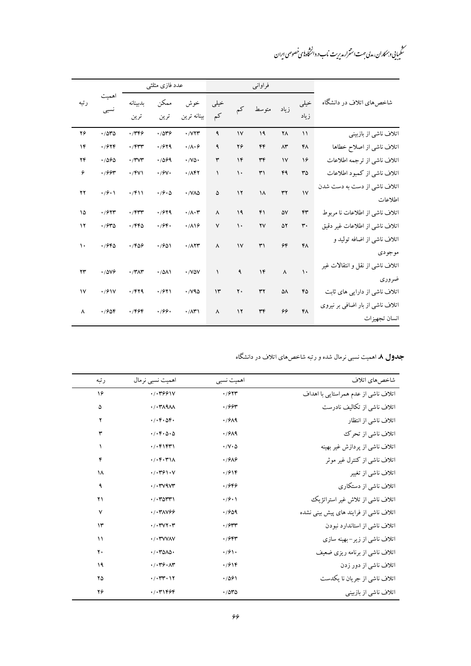ر<br>سنگیبایی و بمکاران، مدلی جهت استمرار مدیریت ناب د. دانشخاه پای خصوصی ایران

|              |                    |                       | عدد فازی مثلثی             |                                  |                       |               | فراوانبي               |                       |                |                                                   |
|--------------|--------------------|-----------------------|----------------------------|----------------------------------|-----------------------|---------------|------------------------|-----------------------|----------------|---------------------------------------------------|
| رتبه         | ىسبى               | بدبينانه<br>ترين      | ممكن<br>ترين               | خوش<br>بينانه ترين               | خيلى<br>کم            | کم            | متو سط                 | زياد                  | خيلى<br>زياد   | شاخصهای اتلاف در دانشگاه                          |
| ۲۶           | .7040              | ۰/۳۴۶                 | .7849                      | $\cdot$ / $\vee$ $\uparrow$      | ٩                     | $\mathsf{V}$  | ۱۹                     | ٢٨                    | $\mathcal{L}$  | اتلاف ناشی از بازبینی                             |
| ۱۴           | .7949              | $\cdot$ /۴۳۳          | .7979                      | $\cdot/\Lambda\cdot f$           | ٩                     | ۲۶            | ۴۴                     | $\Lambda^{\star}$     | ۴٨             | اتلاف ناشي از اصلاح خطاها                         |
| ۲۴           | .7090              | $\cdot$ /۳ $\vee$ ۳   | .7099                      | $\cdot$ / $\vee$ $\circ$         | ٣                     | $\gamma$      | ٣۴                     | $\mathsf{v}$          | ۱۶             | اتلاف ناشي از ترجمه اطلاعات                       |
| ۶            | .799               | $\cdot$ /FVI          | $\cdot$ / $9$ $\cdot$      | .787                             | $\lambda$             | $\mathcal{L}$ | ٣١                     | ۴۹                    | ٣۵             | اتلاف ناشي از كمبود اطلاعات                       |
| ۲۲           | $\cdot$ /9 $\cdot$ | .7911                 | $\cdot$ /9 $\cdot$ $\circ$ | $\cdot$ / $\sqrt{\lambda\Delta}$ | ۵                     | $\gamma$      | $\lambda$              | ٣٢                    | $\mathsf{V}$   | اتلاف ناشی از دست به دست شدن<br>اطلاعات           |
| ۱۵           | .7977              | $\cdot$ /۴۳۳          | .7979                      | $\cdot/\Lambda\cdot\tau$         | $\boldsymbol{\wedge}$ | ١٩            | ۴۱                     | ۵V                    | ۴٣             | اتلاف ناشی از اطلاعات نا مربوط                    |
| ١٢           | .770               | .796                  | $\cdot$ /۶۴.               | .719                             | $\mathsf{V}$          | $\mathcal{L}$ | $\mathsf{Y}\mathsf{V}$ | ۵۲                    | $\mathbf{r}$ . | اتلاف ناشی از اطلاعات غیر دقیق                    |
| ١.           | .7980              | .7809                 | .7801                      | $\cdot$ / $\wedge$               | ٨                     | $\mathsf{v}$  | $\mathsf{r}'$          | ۶۴                    | ۴٨             | اتلاف ناشی از اضافه تولید و<br>مو جو دی           |
| ۲۳           | .7849              | $\cdot$ /٣ $\wedge$ ۳ | .7011                      | $\cdot$ / $V\Delta V$            | $\lambda$             | ٩             | $\mathcal{N}$          | $\boldsymbol{\wedge}$ | $\mathcal{L}$  | اتلاف ناشى از نقل و انتقالات غير<br>ضروري         |
| $\mathsf{v}$ | $\cdot$ / $9$      | .799                  | .7911                      | $\cdot$ / $\vee$ 9 $\triangle$   | $\mathcal{N}$         | ٢٠            | ٣٢                     | ۵٨                    | 60             | اتلاف ناشی از دارایی های ثابت                     |
| ٨            | .7908              | .7999                 | .199.                      | $\cdot$ / $\wedge$ ۳۱            | $\boldsymbol{\wedge}$ | $\gamma$      | $\mathsf{r}\mathsf{r}$ | 66                    | FA             | اتلاف ناشی از بار اضافی بر نیروی<br>انسان تجهيزات |

**جدول ۸.** اهمیت نسبی نرمال شده و رتبه شاخصهای اتلاف در دانشگاه

| شاخص های اتلاف                         | اهمیت نسبی                        | اهمیت نسبی نرمال                                   | رتبه          |
|----------------------------------------|-----------------------------------|----------------------------------------------------|---------------|
| اتلاف ناشی از عدم همراستایی با اهداف   | .797                              | .7.7991V                                           | ۱۶            |
| اتلاف ناشی از تکالیف نادرست            | .799                              | $\cdot$ / $\cdot$ ۳ $\land$ ۹ $\land\land$         | ۵             |
| اتلاف ناشى از انتظار                   | .7919                             | $. / \circ.$                                       | ۲             |
| اتلاف ناشي از تحرك                     | .7919                             | 1.66620                                            | ٣             |
| اتلاف ناشی از پردازش غیر بهینه         | $\cdot$ / $\vee$ $\cdot$ $\Delta$ | . / . F                                            | $\lambda$     |
| اتلاف ناشی از کنترل غیر موثر           | .7989                             | $\cdot$ / $\cdot$ $\cdot$ $\cdot$ $\cdot$ $\wedge$ | ۴             |
| اتلاف ناشی از تغییر                    | .7916                             | 1/17911V                                           | ١٨            |
| اتلاف ناشی از دستکاری                  | .7999                             | $\cdot$ / $\cdot$ ۳ $\vee$ ۹ $\vee$ ۳              | ٩             |
| اتلاف ناشی از تلاش غیر استراتژیک       | $\cdot$ /9 $\cdot$                | $. / . \text{rorr}$                                | ۲۱            |
| اتلاف ناشی از فرایند های پیش بینی نشده | .7909                             | $. / .$ TAVSS                                      | $\mathsf{v}$  |
| اتلاف ناشی از استاندارد نبودن          | $\cdot$ /۶۳۳                      | $\cdot$ / $\cdot$ ۳۷۲ $\cdot$ ۳                    | $\mathcal{N}$ |
| اتلاف ناشی از زیر-بهینه سازی           | .795                              | $\cdot$ / $\cdot$ ۳۷۷۸۷                            | $\lambda$     |
| اتلاف ناشی از برنامه ریزی ضعیف         | $\cdot$ /91 $\cdot$               | $\cdot$ / $\cdot$ ۳۵۸۵ $\cdot$                     | ٢.            |
| اتلاف ناشی از دور زدن                  | .7916                             | .7.79.17                                           | ۱۹            |
| اتلاف ناشي از جريان نا يكدست           | .7091                             | .7.77.17                                           | ۲۵            |
| اتلاف ناشی از بازبینی                  | .7040                             | .7.71999                                           | ۲۶            |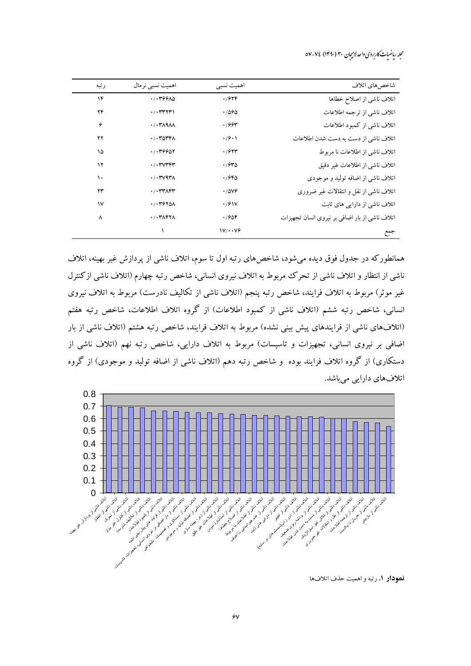محله رماضات کاربردی واحد لاسچان ۳۰ (۱۳۹۰) ۷۷-۷۷

| رتبه         | اهمیت نسبی نر مال                          | اهمیت نسبے           | شاخص های اتلاف                                 |
|--------------|--------------------------------------------|----------------------|------------------------------------------------|
| ۱۴           | .7.799A0                                   | .7949                | اتلاف ناشى از اصلاح خطاها                      |
| ۲۴           | $\cdot$ / $\cdot$ ۳۳۲۳۱                    | .7890                | اتلاف ناشى از ترجمه اطلاعات                    |
| ۶            | $\cdot$ / $\cdot$ ۳ $\land$ ۹ $\land\land$ | .799                 | اتلاف ناشی از کمبود اطلاعات                    |
| ۲۲           | . /                                        | $\cdot$ /9 $\cdot$   | اتلاف ناشی از دست به دست شدن اطلاعات           |
| ۱۵           | .7.79901                                   | .795                 | اتلاف ناشی از اطلاعات نا مربوط                 |
| ۱۲           | $\cdot$ / $\cdot$ ۳ $\vee$ ۳۴۳             | .7940                | اتلاف ناشي از اطلاعات غير دقيق                 |
| ۱۰           | $\cdot$ / $\cdot$ ۳ $\vee$ ۹۳ $\wedge$     | .7980                | اتلاف ناشی از اضافه تولید و موجودی             |
| ۲۳           | $\cdot$ / $\cdot$ ۳۳ $\wedge$ ۴۳           | .7009                | اتلاف ناشی از نقل و انتقالات غیر ضروری         |
| $\mathsf{v}$ | . / . 7970A                                | $\cdot$ /617         | اتلاف ناشی از دارایی های ثابت                  |
| ٨            | $\cdot$ / $\cdot$ ۳ $\wedge$ ۴۲ $\wedge$   | .7908                | اتلاف ناشی از بار اضافی بر نیروی انسان تجهیزات |
|              |                                            | $\frac{1}{\sqrt{2}}$ | جمع                                            |

همانطورکه در جدول فوق دیده می شود، شاخصهای رتبه اول تا سوم، اتلاف ناشی از پردازش غیر بهینه، اتلاف ناشی از انتظار و اتلاف ناشی از تحرک مربوط به اتلاف نیروی انسانی، شاخص رتبه چهارم (اتلاف ناشی ازکنترل غیر موثر) مربوط به اتلاف فرایند، شاخص رتبه پنجم (اتلاف ناشی از تکالیف نادرست) مربوط به اتلاف نیروی انسانی، شاخص رتبه ششم (اتلاف ناشی از کمبود اطلاعات) از گروه اتلاف اطلاعات، شاخص رتبه هفتم (اتلافهای ناشی از فرایندهای پیش بینی نشده) مربوط به اتلاف فرایند، شاخص رتبه هشتم (اتلاف ناشی از بار اضافی بر نیروی انسانی، تجهیزات و تاسیسات) مربوط به اتلاف دارایی، شاخص رتبه نهم (اتلاف ناشی از دستکاری) از گروه اتلاف فرایند بوده و شاخص رتبه دهم (اتلاف ناشی از اضافه تولید و موجودی) از گروه اتلافهای دارایی میباشد.



نعودار ١. رتبه و اهميت حذف اتلافها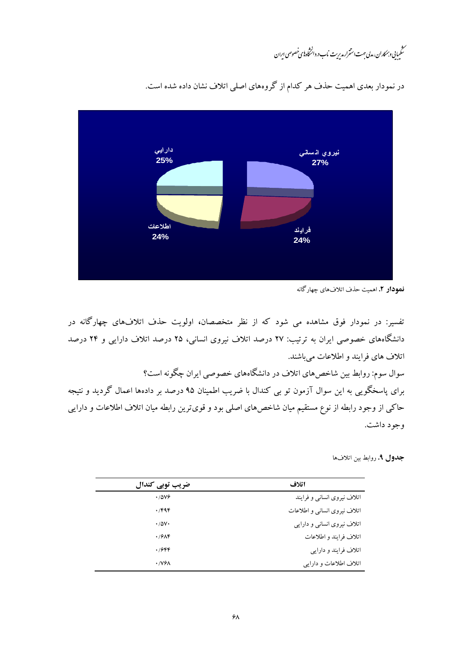.<br>مىگىيايى *دېمكاران*، مدىي حهت استترار مدىريت نماب د. د انتخاه **ن**اي خصوصى ايران



در نمودار بعدی اهمیت حذف هر کدام از گروههای اصلی اتلاف نشان داده شده است.

نمودار ٢. اهميت حذف اتلافهاي چهاركانه

تفسیر: در نمودار فوق مشاهده می شود که از نظر متخصصان، اولویت حذف اتلافهای چهارگانه در دانشگاههای خصوصی ایران به ترتیب: ۲۷ درصد اتلاف نیروی انسانی، ۲۵ درصد اتلاف دارایی و ۲۴ درصد اتلاف های فرایند و اطلاعات می باشند.

سوال سوم: روابط بین شاخصهای اتلاف در دانشگاههای خصوصی ایران چگونه است؟ برای پاسخگویی به این سوال آزمون تو بی کندال با ضریب اطمینان ۹۵ درصد بر دادهها اعمال گردید و نتیجه حاکی از وجود رابطه از نوع مستقیم میان شاخصهای اصلی بود و قویترین رابطه میان اتلاف اطلاعات و دارایی وجود داشت.

جدول ٩. روابط بين اتلافها

| ضریب توبی کندال           | اتلاف                        |
|---------------------------|------------------------------|
| $\cdot$ /5 $Vf$           | اتلاف نیروی انسانی و فرایند  |
| .799                      | اتلاف نیروی انسانی و اطلاعات |
| $\cdot$ /5 $V \cdot$      | اتلاف نیروی انسانی و دارایی  |
| .79                       | اتلاف فرايند و اطلاعات       |
| ۰/۶۴۴                     | اتلاف فرايند و دارايي        |
| $\cdot$ / $V$ ۶ $\Lambda$ | اتلاف اطلاعات و دارايي       |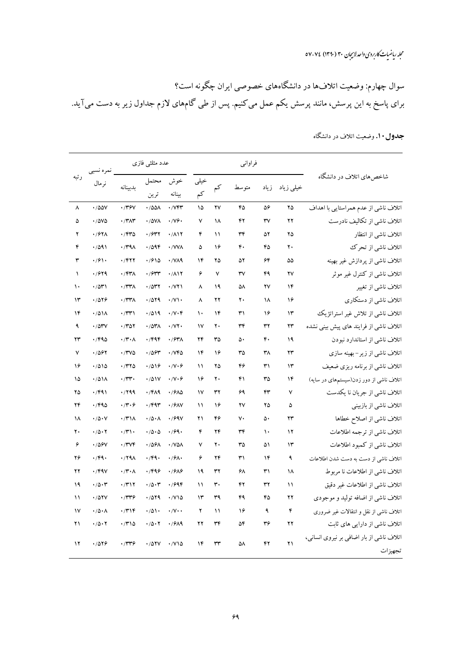سوال چهارم: وضعیت اتلافها در دانشگاههای خصوصی ایران چگونه است؟ برای پاسخ به این پرسش، مانند پرسش یکم عمل میکنیم. پس از طی گامهای لازم جداول زیر به دست میآید.

|                                                     | فراوانبي               |               |                        | عدد مثلثے فازی          |               |                                  | نمره نسبي                      |                             |                                      |                     |
|-----------------------------------------------------|------------------------|---------------|------------------------|-------------------------|---------------|----------------------------------|--------------------------------|-----------------------------|--------------------------------------|---------------------|
| شاخصهای اتلاف در دانشگاه                            | خیلی زیاد              | زياد          | متوسط                  | کم                      | خيلى<br>کم    | خوش<br>بينانه                    | محتمل<br>ترين                  | بدبينانه                    | نرمال                                | رتبه                |
| اتلاف ناشي از عدم همراستايي با اهداف                | ۲۵                     | ۵۶            | ۴۵                     | ۲V                      | ۱۵            | $\cdot$ / $VFT$                  | $\cdot$ /00/                   | $\cdot$ /۳۶۷                | $\cdot$ /00V                         | ٨                   |
| اتلاف ناشی از تکالیف نادرست                         | $\mathbf{Y}$           | ٣٧            | ۴۲                     | ١٨                      | ٧             | $\cdot$ / $V$ ۶ $\cdot$          | $\cdot$ / $\Delta$ V $\Lambda$ | $\cdot$ /٣ $\wedge$ ۳       | $\cdot$ / $\Delta V\Delta$           | ۵                   |
| اتلاف ناشى از انتظار                                | ۲۵                     | ۵۲            | ٣۴                     | $\mathcal{L}$           | ۴             | .711                             | .7947                          | .750                        | .797 <sub>A</sub>                    | ۲                   |
| اتلاف ناشي از تحرك                                  | ٢.                     | ۴۵            | ۴.                     | ۱۶                      | ۵             | · / VVA                          | .709F                          | $\cdot$ /۳۹۸                | .7091                                | ۴                   |
| اتلاف ناشی از پردازش غیر بهینه                      | ۵۵                     | ۶۴            | ۵۲                     | ۲۵                      | ۱۴            | $\cdot$ / $\sqrt{24}$            | .7910                          | .7917                       | $\cdot$ /۶۱۰                         | ٣                   |
| اتلاف ناشی از کنترل غیر موثر                        | $\mathsf{Y}\mathsf{V}$ | ۴۹            | $\mathsf{r}\mathsf{v}$ | $\checkmark$            | ۶             | .711                             | .7944                          | $\cdot$ /۴۳ $\wedge$        | .7979                                | $\lambda$           |
| اتلاف ناشي از تغيير                                 | ۱۴                     | ۲٧            | ۵٨                     | ۱۹                      | ٨             | $\cdot$ / $\vee\uparrow\uparrow$ | .7047                          | $\cdot$ /٣٣ $\wedge$        | .7041                                | ١٠                  |
| اتلاف ناشى از دستكاري                               | ۱۶                     | ١٨            | ٢.                     | $\mathbf{Y} \mathbf{Y}$ | $\lambda$     | $\cdot$ / $\vee$                 | .7079                          | $\cdot$ /٣٣ $\wedge$        | .7019                                | $\mathcal{N}$       |
| اتلاف ناشی از تلاش غیر استراتژیک                    | $\mathcal{N}$          | ۱۶            | ٣١                     | $\gamma$ ۴              | $\mathcal{L}$ | $\cdot/\gamma\cdot f$            | .7019                          | $\cdot$ /٣٣١                | $\cdot$ /011                         | ۱۴                  |
| اتلاف ناشی از فرایند های پیش بینی نشده              | ۲۳                     | ٣٢            | ٣۴                     | ٢٠                      | $\mathsf{v}$  | $\cdot$ / $\vee$ $\cdot$         | $\cdot$ / $\circ\tau\wedge$    | .7707                       | $\cdot$ / $\circ$ $\circ$ $\circ$    | $\ddot{\mathbf{a}}$ |
| اتلاف ناشی از استاندارد نبودن                       | ۱۹                     | ۴۰            | ۵۰                     | ٣۵                      | ۲۴            | $\cdot$ / $54\%$                 | .799                           | $\cdot$ /۳ $\cdot$ $\wedge$ | .790                                 | ۲۳                  |
| اتلاف ناشی از زیر-بهینه سازی                        | $\mathbf{y}$           | ٣٨            | ٣۵                     | ۱۶                      | ۱۴            | $\cdot$ / $VFA$                  | .7094                          | $\cdot$ /٣٧٥                | .7097                                | $\mathsf{v}$        |
| اتلاف ناشی از برنامه ریزی ضعیف                      | $\mathcal{N}$          | ٣١            | ۴۶                     | ۲۵                      | $\mathcal{L}$ | $\cdot$ / $\vee$ . $\varphi$     | .7019                          | .770                        | .7010                                | ۱۶                  |
| اتلاف ناشی از دور زدن(سیستمهای در سایه)             | ۱۴                     | ٣۵            | ۴۱                     | ٢.                      | ۱۶            | $\cdot$ /V $\cdot$ 6             | $\cdot$ /01V                   | $\cdot$ /٣٣ $\cdot$         | $\cdot$ /011                         | ۱۵                  |
| اتلاف ناشي از جريان نا يكدست                        | $\checkmark$           | ۴۳            | ۶۹                     | ٣٢                      | $\mathsf{N}$  | .79 <sub>AA</sub>                | $\cdot$ /۴۸۹                   | .799                        | .791                                 | ۲۵                  |
| اتلاف ناشی از بازبینی                               | ۵                      | ۲۵            | ۲٧                     | ۱۶                      | $\mathcal{L}$ | $\cdot$ / $9$ AV                 | $\cdot$ /۴۹۳                   | $\cdot$ /۳ $\cdot$ ۶        | .790                                 | ۲۴                  |
| اتلاف ناشى از اصلاح خطاها                           | ۲۳                     | ۵۰            | ٧٠                     | ۴۶                      | ۲۱            | $\cdot$ / $99V$                  | $\cdot/\Delta \cdot \Lambda$   | $\cdot$ /۳۱۸                | $\cdot$ / $\circ$ $\cdot$ $\vee$     | ١٨                  |
| اتلاف ناشى از ترجمه اطلاعات                         | $\gamma$               | $\mathcal{L}$ | ٣۴                     | ۲۴                      | ۴             | .799.                            | $\cdot/\Delta\cdot\Delta$      | $\cdot$ /٣١٠                | $\cdot/\Delta\cdot\Upsilon$          | ٢٠                  |
| اتلاف ناشی از کمبود اطلاعات                         | ۱۳                     | ۵۱            | ٣۵                     | ٢.                      | $\mathsf{v}$  | $\cdot$ / $V\Delta\Lambda$       | .789A                          | .7706                       | .789V                                | ۶                   |
| اتلاف ناشی از دست به دست شدن اطلاعات                | ٩                      | ۱۴            | ٣١                     | ۲۴                      | ۶             | $\cdot$ / $9\Lambda$             | $\cdot$ /۴۹ $\cdot$            | .791                        | .79.                                 | ۲۶                  |
| اتلاف ناشی از اطلاعات نا مربوط                      | ۱۸                     | ٣١            | ۶۸                     | ٣٢                      | ۱۹            | .7919                            | .799                           | $\cdot$ /۳ $\cdot$ ۸        | $\cdot$ /۴۹۷                         | ۲۲                  |
| اتلاف ناشی از اطلاعات غیر دقیق                      | $\mathcal{L}$          | ٣٢            | ۴۲                     | ٣.                      | $\mathcal{L}$ | .7999                            | .70.7                          | .7717                       | .70.7                                | ۱۹                  |
| اتلاف ناشی از اضافه تولید و موجودی                  | ۲۲                     | ۴۵            | ۴۹                     | ٣٩                      | $\mathcal{N}$ | $\cdot$ / $\vee$ 10              | .7079                          | .749                        | $\cdot$ / $\Delta$ $\gamma$ $\gamma$ | $\mathcal{L}$       |
| اتلاف ناشی از نقل و انتقالات غیر ضروری              | ۴                      | ٩             | ۱۶                     | $\mathcal{L}$           | ۲             | $\cdot$ / $\vee$ $\cdot$         | .701.                          | .779                        | $\cdot/\Delta \cdot \Lambda$         | $\mathsf{v}$        |
| اتلاف ناشی از دارایی های ثابت                       | $\mathbf{Y}$           | ٣۶            | ۵۴                     | ٣۴                      | ۲۲            | $\cdot$ / $9$ ۸۹                 | $\cdot/\Delta\cdot Y$          | .770                        | $\cdot/\Delta\cdot\Upsilon$          | ۲۱                  |
| اتلاف ناشی از بار اضافی بر نیروی انسانی،<br>تجهيزات | ۲۱                     | ۴۲            | ۵٨                     | ٣٣                      | ۱۴            | $\cdot$ / $\vee$ 10              | .701V                          | .749                        | .7019                                | ۱۲                  |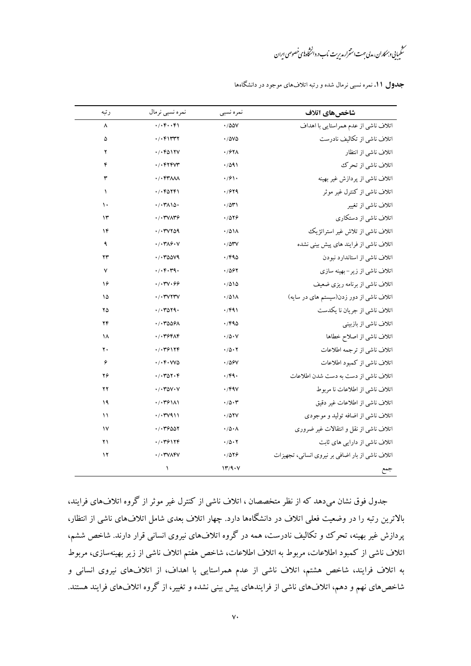.<br>مىڭمىيايى *دېمكار*ان، مەلى جهت استترارىدى<sub>رى</sub>ت ناب در دانىڭاە<sup>يا</sup>ى خصوصى اىران

| رتبه          | نمره نسبي نرمال                        | نمره نسبي                         | شاخصهاي اتلاف                                    |
|---------------|----------------------------------------|-----------------------------------|--------------------------------------------------|
| ٨             | . /                                    | $\cdot$ /00V                      | اتلاف ناشی از عدم همراستایی با اهداف             |
| ۵             | . / . 511177                           | $\cdot$ / $\Delta V\Delta$        | اتلاف ناشی از تکالیف نادرست                      |
| ۲             | . /                                    | ·/۶۲۸                             | اتلاف ناشى از انتظار                             |
| ۴             | $. / .$ $F$                            | .7091                             | اتلاف ناشي از تحرك                               |
| ٣             | $\cdot$ / $\cdot$ $f$ raad             | .791.                             | اتلاف ناشی از پردازش غیر بهینه                   |
| $\lambda$     | . /                                    | .7979                             | اتلاف ناشی از کنترل غیر موثر                     |
| $\mathcal{L}$ | $\cdot$ / $\cdot$ ۳۸۱۵.                | ۰/۵۳۱                             | اتلاف ناشي از تغيير                              |
| ۱۳            | $\cdot$ / $\cdot$ ۳۷۸۳۶                | .7019                             | اتلاف ناشی از دستکاری                            |
| ۱۴            | . /                                    | .701A                             | اتلاف ناشی از تلاش غیر استراتژیک                 |
| ٩             | $\cdot$ / $\cdot$ ۳۸۶ $\cdot$ V        | .704V                             | اتلاف ناشی از فرایند های پیش بینی نشده           |
| ۲۳            | .7.70009                               | ۱٬۴۹۵                             | اتلاف ناشی از استاندارد نبودن                    |
| ٧             | $\cdot$ / $\cdot$ ۴ $\cdot$ ۳۹ $\cdot$ | ۰/۵۶۲                             | اتلاف ناشی از زیر-بهینه سازی                     |
| ۱۶            | .7.70.99                               | .7010                             | اتلاف ناشی از برنامه ریزی ضعیف                   |
| ۱۵            | $\cdot$ / $\cdot$ ۳٧٢٣٧                | .701A                             | اتلاف ناشی از دور زدن(سیستم های در سایه)         |
| ۲۵            | . /                                    | .791                              | اتلاف ناشي از جريان نا يكدست                     |
| ۲۴            | ۰/۰۳۵۵۶۸                               | ۱/۴۹۵                             | اتلاف ناشی از بازبینی                            |
| ۱۸            | .7.799A                                | $\cdot$ / $\Delta$ $\cdot$ $\vee$ | اتلاف ناشى از اصلاح خطاها                        |
| ٢٠            | .7.79179                               | .70.7                             | اتلاف ناشى از ترجمه اطلاعات                      |
| ۶             | $\cdot$ / $\cdot$ ۴ $\cdot$ VV۵        | 7467 .                            | اتلاف ناشی از کمبود اطلاعات                      |
| ۲۶            | . /                                    | $\cdot$ /۴۹ $\cdot$               | اتلاف ناشی از دست به دست شدن اطلاعات             |
| ۲۲            | $\cdot$ / $\cdot$ ۳۵۷ $\cdot$ V        | .794V                             | اتلاف ناشی از اطلاعات نا مربوط                   |
| ۱۹            | $\cdot$ / $\cdot$ ۳۶۱۸۱                | $\cdot$ /0.7                      | اتلاف ناشی از اطلاعات غیر دقیق                   |
| ۱۱            | ۰/۰۳۷۹۱۱                               | .707V                             | اتلاف ناشي از اضافه توليد و موجودي               |
| $\mathsf{v}$  | . /                                    | $\cdot/\Delta \cdot \Lambda$      | اتلاف ناشی از نقل و انتقالات غیر ضروری           |
| ۲۱            | ۰/۰۳۶۱۲۴                               | $\cdot$ /5 $\cdot$ $\cdot$        | اتلاف ناشی از دارایی های ثابت                    |
| ۱۲            | $\cdot$ / $\cdot$ ۳۷۸۴۷                | .7019                             | اتلاف ناشی از بار اضافی بر نیروی انسانی، تجهیزات |
|               | ١                                      | 17/9.4                            | جمع                                              |

**جدول ۱۱.** نمره نسبی نرمال شده و رتبه اتلافهای موجود در دانشگاهها

جدول فوق نشان میدهد که از نظر متخصصان ، اتلاف ناشی از کنترل غیر موثر از گروه اتلافهای فرایند، بالاترین رتبه را در وضعیت فعلی اتلاف در دانشگاهها دارد. چهار اتلاف بعدی شامل اتلافهای ناشی از انتظار، پردازش غیر بهینه، تحرک وو تکالیف نادرست، همه در گروه اتلافهای نیروی انسانی قرار دارند. شاخص ششم، اتلاف ناشی از کمبود اطلاعات، مربوط به اتلاف اطلاعات، شاخص هفتم اتلاف ناشی از زیر بهینهسازی، مربوط به اتلاف فرایند، شاخص هشتم، اتلاف ناشی از عدم همراستایی با اهداف، از اتلافهای نیروی انسانی و شاخصهای نهم و دهم، اتلافهای ناشی از فرایندهای پیش بینی نشده و تغییر، از گروه اتلافهای فرایند هستند.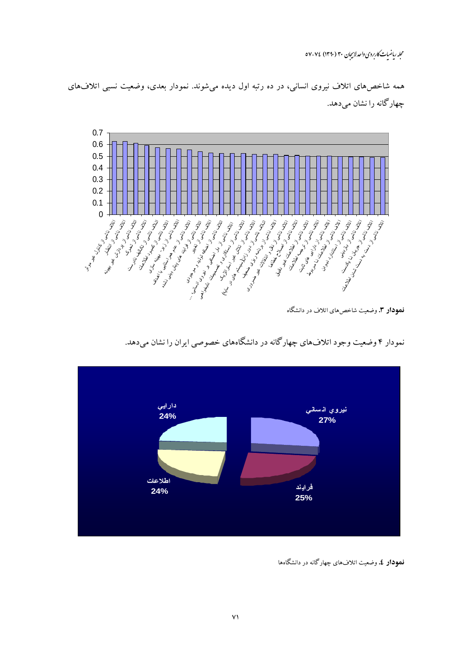مجله ریاضیات کاربردی واحد لاسچان ۳۰ (۱۳۹۰) ۷۶-۵۷

همه شاخصهای اتلاف نیروی انسانی، در ده رتبه اول دیده میشوند. نمودار بعدی، وضعیت نسبی اتلافهای چهار گانه را نشان می دهد.



**نمودار ۳.** وضعیت شاخصهای اتلاف در دانشگاه



نمودار ۴ وضعیت وجود اتلافهای چهارگانه در دانشگاههای خصوصی ایران را نشان میدهد.

**نمودار ٤.** وضعیت اتلافهای چهارگانه در دانشگاهها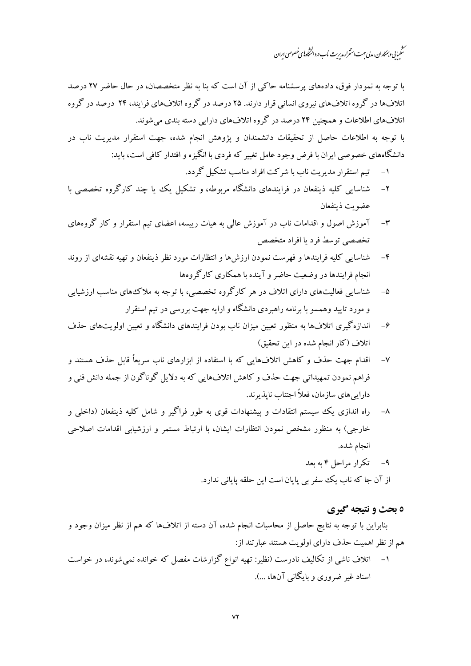.<br>مىڭمىيانى وہمكاران، مدلى حهت استترار مدىرىت ناب در دائىڭاه بىي خصوصى اىران

با توجه به نمودار فوق، دادههای پرسشنامه حاکبی از آن است که بنا به نظر متخصصان، در حال حاضر ۲۷ درصد اتلافها در گروه اتلافهای نیروی انسانی قرار دارند. ۲۵ درصد در گروه اتلافهای فرایند، ۲۴ درصد در گروه .<br>اتلافهای اطلاعات و همچنین ۲۴ درصد در گروه اتلافهای دارایی دسته بندی می شوند.

با توجه به اطلاعات حاصل از تحقیقات دانشمندان و پژوهش انجام شده، جهت استقرار مدیریت ناب در دانشگاههای خصوصی ایران با فرض وجود عامل تغییر که فردی با انگیزه و اقتدار کافی است، باید:

- تیم استقرار مدیریت ناب با شرکت افراد مناسب تشکیل گردد.  $-1$
- شناسایی کلیه ذینفعان در فرایندهای دانشگاه مربوطه، و تشکیل یک یا چند کارگروه تخصصی با  $-\tau$ عضويت ذينفعان
- آموزش اصول و اقدامات ناب در آموزش عالمی به هیات رییسه، اعضای تیم استقرار و کار گروههای  $-\tau$ تخصصی توسط فرد با افراد متخصص
- شناسایی کلیه فرایندها و فهرست نمودن ارزشها و انتظارات مورد نظر ذینفعان و تهیه نقشهای از روند  $-\epsilon$ انجام فرایندها در وضعیت حاضر و آینده با همکاری کارگروهها
- شناسایی فعالیتهای دارای اتلاف در هر کارگروه تخصصی، با توجه به ملاک های مناسب ارزشیابی  $-\Delta$ و مورد تایید وهمسو با برنامه راهبردی دانشگاه و ارایه جهت بررسی در تیم استقرار
- اندازه گیری اتلافها به منظور تعیین میزان ناب بودن فرایندهای دانشگاه و تعیین اولو پتهای حذف  $-\epsilon$ اتلاف (كار انجام شده در اين تحقيق)
- اقدام جهت حذف و کاهش اتلافهایی که با استفاده از ابزارهای ناب سریعاً قابل حذف هستند و  $-V$ فراهم نمودن تمهیداتی جهت حذف و کاهش اتلافهایی که به دلایل گوناگون از جمله دانش فنی و دارایی های سازمان، فعلاً اجتناب ناپذیرند.
- راه اندازی یک سیستم انتقادات و پیشنهادات قوی به طور فراگیر و شامل کلیه ذینفعان (داخلی و  $-\lambda$ خارجی) به منظور مشخص نمودن انتظارات ایشان، با ارتباط مستمر و ارزشیابی اقدامات اصلاحی انجام شده.
	- ۹- تکرار مراحل ۴ به بعد از آن جا که ناب یک سفر بی پایان است این حلقه پایانی ندارد.

## ه بحث و نتیجه گیری

بنابراین با توجه به نتایج حاصل از محاسبات انجام شده، آن دسته از اتلافها که هم از نظر میزان وجود و هم از نظر اهمیت حذف دارای اولویت هستند عبارتند از:

۱– اتلاف ناشی از تکالیف نادرست (نظیر: تهیه انواع گزارشات مفصل که خوانده نمیشوند، در خواست اسناد غیر ضروری و پایگانی آنها، …).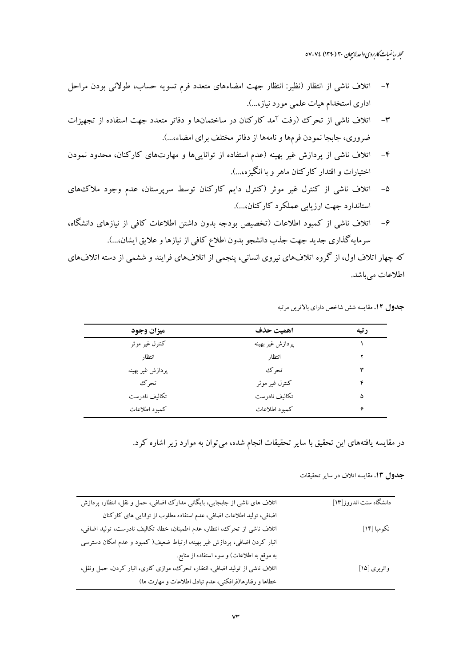- اتلاف ناشی از انتظار (نظیر: انتظار جهت امضاءهای متعدد فرم تسویه حساب، طولانی بودن مراحل اداری استخدام هیات علمی مورد نیاز،...).
- اتلاف ناشی از تحرک (رفت آمد کارکنان در ساختمانها و دفاتر متعدد جهت استفاده از تجهیزات  $-\tau$ ضروري، جابجا نمودن فرمها و نامهها از دفاتر مختلف براي امضاء...).
- اتلاف ناشی از پردازش غیر بهینه (عدم استفاده از تواناییها و مهارتهای کارکنان، محدود نمودن  $-\epsilon$ اختیارات و اقتدار کارکنان ماهر و با انگیزه،...).
- اتلاف ناشی از کنترل غیر موثر (کنترل دایم کارکنان توسط سرپرستان، عدم وجود ملاک های  $-\Delta$ استاندارد جهت ارزيابي عملكرد كاركنان....).
- اتلاف ناشی از کمبود اطلاعات (تخصیص بودجه بدون داشتن اطلاعات کافی از نیازهای دانشگاه،  $-\epsilon$ سرمايه گذاري جديد جهت جذب دانشجو بدون اطلاع كافي از نيازها و علايق ايشان...).

که چهار اتلاف اول، از گروه اتلافهای نیروی انسانی، پنجمی از اتلافهای فرایند و ششمی از دسته اتلافهای اطلاعات مے باشد.

| ميزان وجود       | اهميت حذف        | رتبه |
|------------------|------------------|------|
| كنترل غير موثر   | پردازش غیر بھینه |      |
| انتظار           | انتظار           |      |
| پردازش غیر بھینه | تحر ک            | ٣    |
| تحرك             | كنترل غير موثر   | ۴    |
| تكاليف نادرست    | تكاليف نادرست    | ۵    |
| كمبود اطلاعات    | كمبود اطلاعات    | ۰    |

جدول ١٢. مقايسه شش شاخص داراي بالاترين مرتبه

در مقایسه یافتههای این تحقیق با سایر تحقیقات انجام شده، میتوان به موارد زیر اشاره کرد.

دانشگاه سنت اندروز [۱۳] اتلاف های ناشی از جابجایی، بایگانی مدارک اضافی، حمل و نقل، انتظار، پردازش اضافی، تولید اطلاعات اضافی، عدم استفاده مطلوب از توانایی های کارکنان نكومبا [۱۴] اتلاف ناشی از تحرک، انتظار، عدم اطمینان، خطا، تکالیف نادرست، تولید اضافی، انبار کردن اضافی، پردازش غیر بهینه، ارتباط ضعیف( کمبود و عدم امکان دسترسی به موقع به اطلاعات) و سوء استفاده از منابع. اتلاف ناشی از تولید اضافی، انتظار، تحرک، موازی کاری، انبار کردن، حمل ونقل، واتربري [١٥] خطاها و رفتارها(فرافکنبی، عدم تبادل اطلاعات و مهارت ها)

جدول ١٣. مقايسه اتلاف در ساير تحقيقات